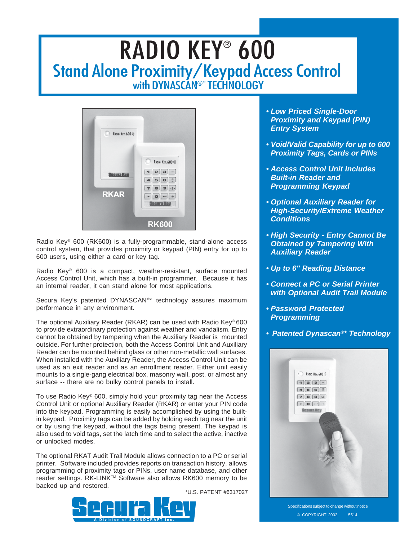## RADIO KEY® 600 Stand Alone Proximity/Keypad Access Control with DYNASCAN®\* TECHNOLOGY



Radio Key® 600 (RK600) is a fully-programmable, stand-alone access control system, that provides proximity or keypad (PIN) entry for up to 600 users, using either a card or key tag.

Radio Key® 600 is a compact, weather-resistant, surface mounted Access Control Unit, which has a built-in programmer. Because it has an internal reader, it can stand alone for most applications.

Secura Key's patented DYNASCAN®\* technology assures maximum performance in any environment.

The optional Auxiliary Reader (RKAR) can be used with Radio Key® 600 to provide extraordinary protection against weather and vandalism. Entry cannot be obtained by tampering when the Auxiliary Reader is mounted outside. For further protection, both the Access Control Unit and Auxiliary Reader can be mounted behind glass or other non-metallic wall surfaces. When installed with the Auxiliary Reader, the Access Control Unit can be used as an exit reader and as an enrollment reader. Either unit easily mounts to a single-gang electrical box, masonry wall, post, or almost any surface -- there are no bulky control panels to install.

To use Radio Key® 600, simply hold your proximity tag near the Access Control Unit or optional Auxiliary Reader (RKAR) or enter your PIN code into the keypad. Programming is easily accomplished by using the builtin keypad. Proximity tags can be added by holding each tag near the unit or by using the keypad, without the tags being present. The keypad is also used to void tags, set the latch time and to select the active, inactive or unlocked modes.

The optional RKAT Audit Trail Module allows connection to a PC or serial printer. Software included provides reports on transaction history, allows programming of proximity tags or PINs, user name database, and other reader settings. RK-LINK™ Software also allows RK600 memory to be backed up and restored.

\*U.S. PATENT #6317027



- *Low Priced Single-Door Proximity and Keypad (PIN) Entry System*
- *Void/Valid Capability for up to 600 Proximity Tags, Cards or PINs*
- *Access Control Unit Includes Built-in Reader and Programming Keypad*
- *Optional Auxiliary Reader for High-Security/Extreme Weather Conditions*
- *High Security Entry Cannot Be Obtained by Tampering With Auxiliary Reader*
- *Up to 6" Reading Distance*
- *Connect a PC or Serial Printer with Optional Audit Trail Module*
- *Password Protected Programming*
- *Patented Dynascan®\* Technology*



Specifications subject to change without notice © COPYRIGHT 2002 5514